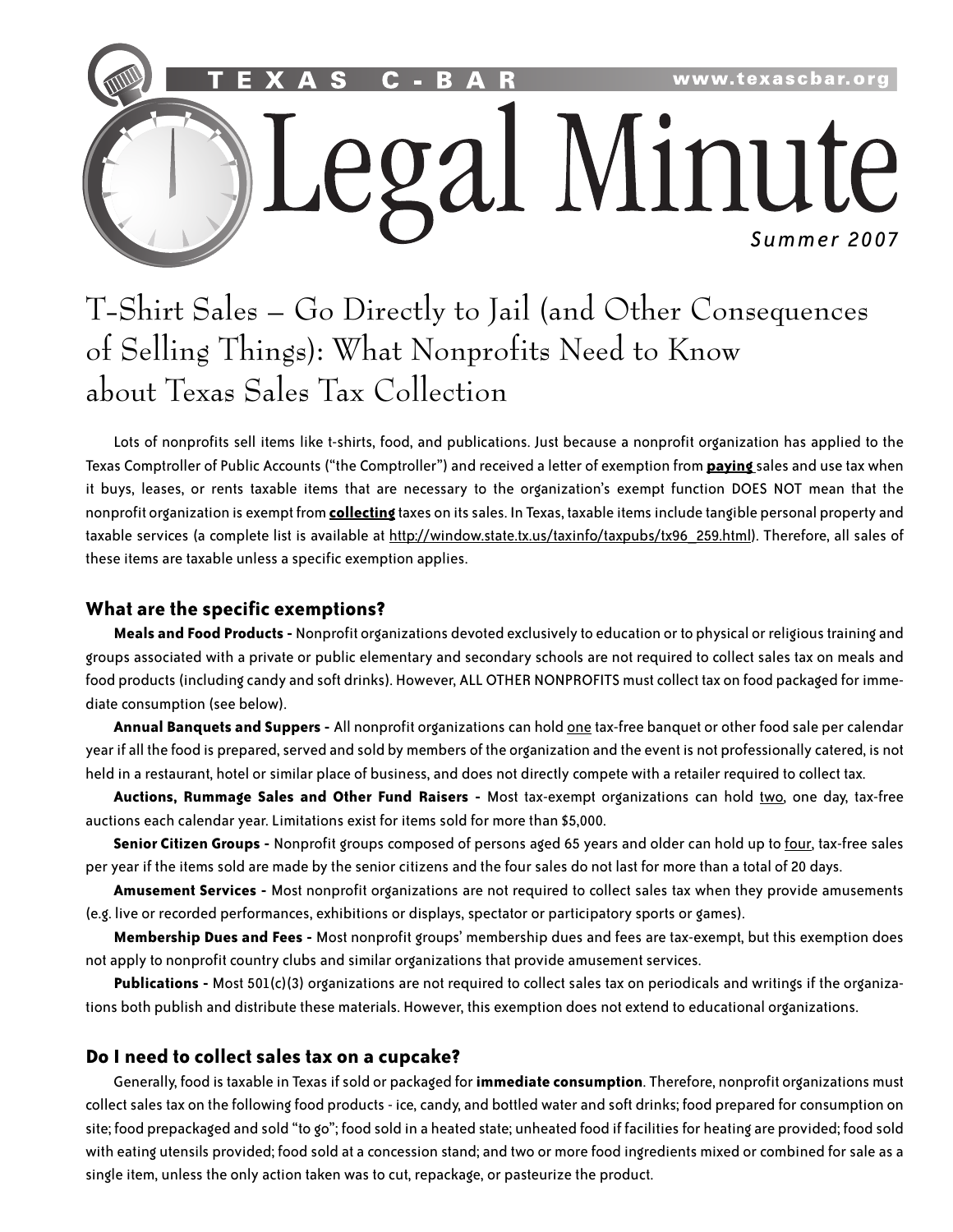

# T-Shirt Sales – Go Directly to Jail (and Other Consequences of Selling Things): What Nonprofits Need to Know about Texas Sales Tax Collection

Lots of nonprofits sell items like t-shirts, food, and publications. Just because a nonprofit organization has applied to the Texas Comptroller of Public Accounts("the Comptroller") and received a letter of exemption from **paying** sales and use tax when it buys, leases, or rents taxable items that are necessary to the organization's exempt function DOES NOT mean that the nonprofit organization is exempt from **collecting** taxes on itssales. In Texas, taxable itemsinclude tangible personal property and taxable services (a complete list is available at http://window.state.tx.us/taxinfo/taxpubs/tx96\_259.html). Therefore, all sales of these items are taxable unless a specific exemption applies.

## **What are the specific exemptions?**

**Meals and Food Products -** Nonprofit organizations devoted exclusively to education or to physical or religioustraining and groups associated with a private or public elementary and secondary schools are not required to collect sales tax on meals and food products (including candy and soft drinks). However, ALL OTHER NONPROFITS must collect tax on food packaged for immediate consumption (see below).

**Annual Banquets and Suppers -** All nonprofit organizations can hold one tax-free banquet or other food sale per calendar year if all the food is prepared, served and sold by members of the organization and the event is not professionally catered, is not held in a restaurant, hotel or similar place of business, and does not directly compete with a retailer required to collect tax.

**Auctions, Rummage Sales and Other Fund Raisers -** Most tax-exempt organizations can hold two, one day, tax-free auctions each calendar year. Limitations exist for items sold for more than \$5,000.

**Senior Citizen Groups -** Nonprofit groups composed of persons aged 65 years and older can hold up to four, tax-free sales per year if the items sold are made by the senior citizens and the four sales do not last for more than a total of 20 days.

**Amusement Services -** Most nonprofit organizations are not required to collect sales tax when they provide amusements (e.g. live or recorded performances, exhibitions or displays, spectator or participatory sports or games).

**Membership Dues and Fees -** Most nonprofit groups' membership dues and fees are tax-exempt, but this exemption does not apply to nonprofit country clubs and similar organizations that provide amusement services.

**Publications -** Most 501(c)(3) organizations are not required to collect sales tax on periodicals and writings if the organizations both publish and distribute these materials. However, this exemption does not extend to educational organizations.

### **Do I need to collect sales tax on a cupcake?**

Generally, food istaxable in Texasifsold or packaged for **immediate consumption**. Therefore, nonprofit organizations must collect sales tax on the following food products - ice, candy, and bottled water and soft drinks; food prepared for consumption on site; food prepackaged and sold "to go"; food sold in a heated state; unheated food if facilities for heating are provided; food sold with eating utensils provided; food sold at a concession stand; and two or more food ingredients mixed or combined forsale as a single item, unless the only action taken was to cut, repackage, or pasteurize the product.